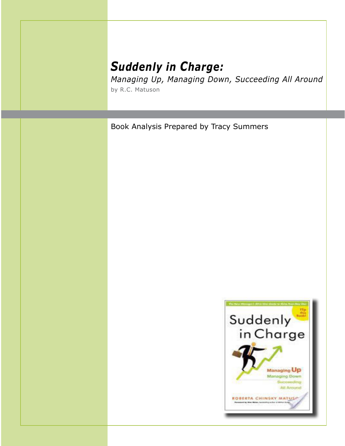## *Suddenly in Charge:*

*Managing Up, Managing Down, Succeeding All Around* by R.C. Matuson

Book Analysis Prepared by Tracy Summers

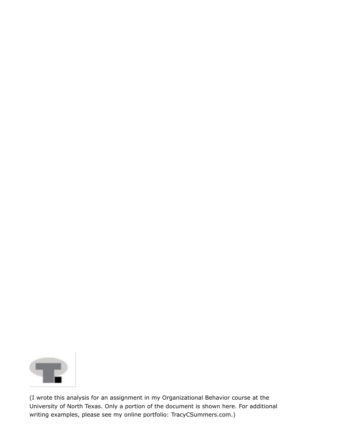

(I wrote this analysis for an assignment in my Organizational Behavior course at the University of North Texas. Only a portion of the document is shown here. For additional writing examples, please see my online portfolio: TracyCSummers.com.)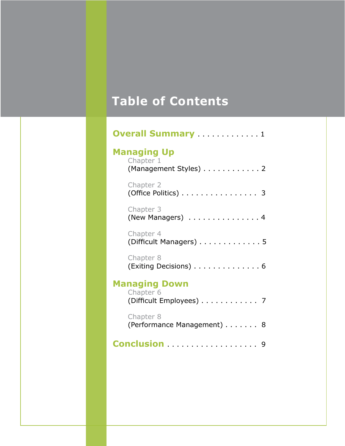# **Table of Contents**

| <b>Overall Summary</b> 1                                     |
|--------------------------------------------------------------|
| <b>Managing Up</b><br>Chapter 1<br>(Management Styles) 2     |
| Chapter 2<br>(Office Politics) $\ldots \ldots \ldots \ldots$ |
| Chapter 3<br>(New Managers) 4                                |
| Chapter 4<br>(Difficult Managers) 5                          |
| Chapter 8<br>(Exiting Decisions) 6                           |
| <b>Managing Down</b><br>Chapter 6<br>(Difficult Employees) 7 |
| Chapter 8<br>(Performance Management) 8                      |
| Conclusion  9                                                |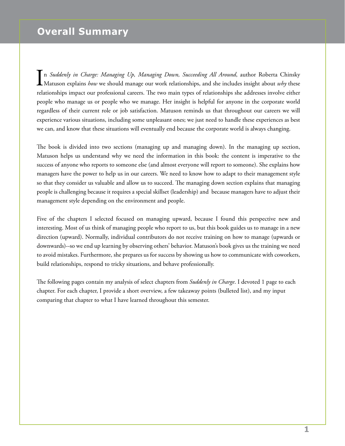#### **Overall Summary**

In *Suddenly in Charge: Managing Up, Managing Down, Succeeding All Around*, author Roberta Chinsky<br>Matuson explains *how* we should manage our work relationships, and she includes insight about *why* these Matuson explains *how* we should manage our work relationships, and she includes insight about *why* these relationships impact our professional careers. The two main types of relationships she addresses involve either people who manage us or people who we manage. Her insight is helpful for anyone in the corporate world regardless of their current role or job satisfaction. Matuson reminds us that throughout our careers we will experience various situations, including some unpleasant ones; we just need to handle these experiences as best we can, and know that these situations will eventually end because the corporate world is always changing.

The book is divided into two sections (managing up and managing down). In the managing up section, Matuson helps us understand why we need the information in this book: the content is imperative to the success of anyone who reports to someone else (and almost everyone will report to someone). She explains how managers have the power to help us in our careers. We need to know how to adapt to their management style so that they consider us valuable and allow us to succeed. The managing down section explains that managing people is challenging because it requires a special skillset (leadership) and because managers have to adjust their management style depending on the environment and people.

Five of the chapters I selected focused on managing upward, because I found this perspective new and interesting. Most of us think of managing people who report to us, but this book guides us to manage in a new direction (upward). Normally, individual contributors do not receive training on how to manage (upwards or downwards)--so we end up learning by observing others' behavior. Matuson's book gives us the training we need to avoid mistakes. Furthermore, she prepares us for success by showing us how to communicate with coworkers, build relationships, respond to tricky situations, and behave professionally.

The following pages contain my analysis of select chapters from *Suddenly in Charge*. I devoted 1 page to each chapter. For each chapter, I provide a short overview, a few takeaway points (bulleted list), and my input comparing that chapter to what I have learned throughout this semester.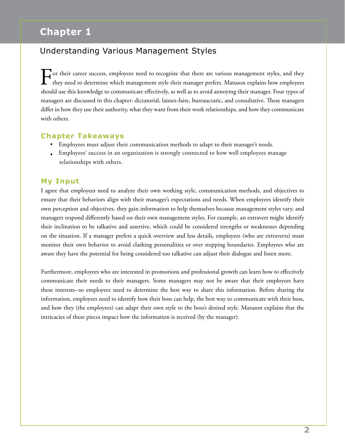## **Chapter 1**

#### Understanding Various Management Styles

For their career success, employees need to recognize that there are various management styles, and they they need to determine which management style their manager prefers. Matuson explains how employees should use this knowledge to communicate effectively, as well as to avoid annoying their manager. Four types of managers are discussed in this chapter: dictatorial, laissez-faire, bureaucratic, and consultative. These managers differ in how they use their authority, what they want from their work relationships, and how they communicate with others.

#### **Chapter Takeaways**

- Employees must adjust their communication methods to adapt to their manager's needs.
- Employees' success in an organization is strongly connected to how well employees manage relationships with others.

#### **My Input**

I agree that employees need to analyze their own working style, communication methods, and objectives to ensure that their behaviors align with their manager's expectations and needs. When employees identify their own perception and objectives, they gain information to help themselves because management styles vary, and managers respond differently based on their own management styles. For example, an extravert might identify their inclination to be talkative and assertive, which could be considered strengths or weaknesses depending on the situation. If a manager prefers a quick overview and less details, employees (who are extraverts) must monitor their own behavior to avoid clashing personalities or over stepping boundaries. Employees who are aware they have the potential for being considered too talkative can adjust their dialogue and listen more.

Furthermore, employees who are interested in promotions and professional growth can learn how to effectively communicate their needs to their managers. Some managers may not be aware that their employees have these interests--so employees need to determine the best way to share this information. Before sharing the information, employees need to identify how their boss can help, the best way to communicate with their boss, and how they (the employees) can adapt their own style to the boss's desired style. Matuson explains that the intricacies of these pieces impact how the information is received (by the manager).